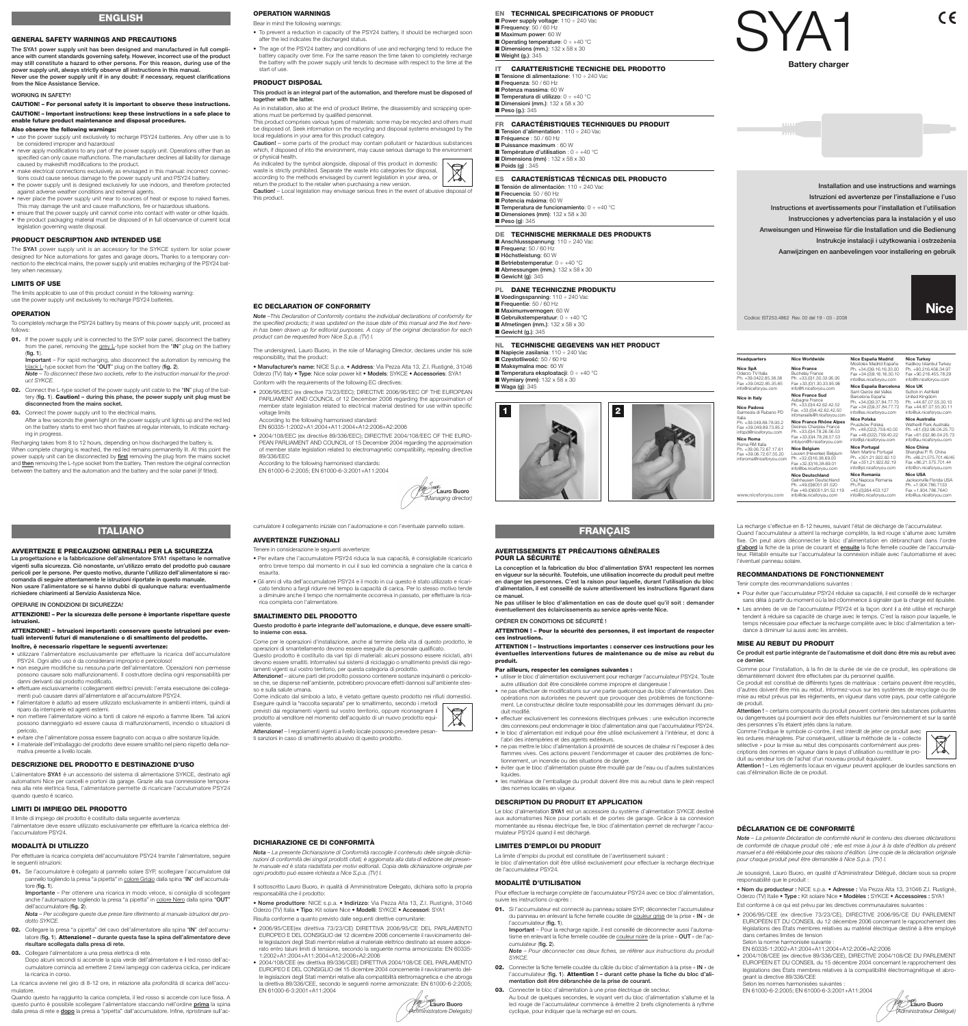## **GENERAL SAFETY WARNINGS AND PRECAUTIONS**

**The SYA1 power supply unit has been designed and manufactured in full compliance with current standards governing safety. However, incorrect use of the product may still constitute a hazard to other persons. For this reason, during use of the power supply unit, always strictly observe all instructions in this manual. Never use the power supply unit if in any doubt: if necessary, request clarifications from the Nice Assistance Service.**

## **WORKING IN SAFETY!**

## **CAUTION! – For personal safety it is important to observe these instructions. CAUTION! – Important instructions: keep these instructions in a safe place to enable future product maintenance and disposal procedures.**

## **Also observe the following warnings:**

The **SYA1** power supply unit is an accessory for the SYKCE system for solar power designed for Nice automations for gates and garage doors**.** Thanks to a temporary connection to the electrical mains, the power supply unit enables recharging of the PSY24 battery when necessary

The limits applicable to use of this product consist in the following warning: use the power supply unit exclusively to recharge PSY24 batteries.

- use the power supply unit exclusively to recharge PSY24 batteries. Any other use is to be considered improper and hazardous!
- never apply modifications to any part of the power supply unit. Operations other than as specified can only cause malfunctions. The manufacturer declines all liability for damage caused by makeshift modifications to the product.
- make electrical connections exclusively as envisaged in this manual: incorrect connections could cause serious damage to the power supply unit and PSY24 battery.
- the power supply unit is designed exclusively for use indoors, and therefore protected against adverse weather conditions and external agents.
- never place the power supply unit near to sources of heat or expose to naked flames. This may damage the unit and cause malfunctions, fire or hazardous situations.
- ensure that the power supply unit cannot come into contact with water or other liquids. • the product packaging material must be disposed of in full observance of current local
- legislation governing waste disposal.

- **01.** If the power supply unit is connected to the SYP solar panel, disconnect the battery from the panel, removing the grey L-type socket from the "**IN**" plug on the battery (**fig. 1**).
- **Important** For rapid recharging, also disconnect the automation by removing the black L-type socket from the "**OUT**" plug on the battery (**fig. 2**). *Note – To disconnect these two sockets, refer to the instruction manual for the product SYKCE.*
- **02.** Connect the L-type socket of the power supply unit cable to the "**IN**" plug of the battery (**fig. 1**). **Caution! – during this phase, the power supply unit plug must be disconnected from the mains socket.**

**03.** Connect the power supply unit to the electrical mains.

After a few seconds the green light on the power supply unit lights up and the red led on the battery starts to emit two short flashes at regular intervals, to indicate recharging in progress

## **PRODUCT DESCRIPTION AND INTENDED USE**

## **LIMITS OF USE**

#### **OPERATION**

To completely recharge the PSY24 battery by means of this power supply unit, proceed as follows:

Recharging takes from 8 to 12 hours, depending on how discharged the battery is. When complete charging is reached, the red led remains permanently lit. At this point the power supply unit can be disconnected by **first** removing the plug from the mains socket and **then** removing the L-type socket from the battery. Then restore the original connection between the battery and the automation and the battery and the solar panel (if fitted).

**OPERATION WARNINGS** Bear in mind the following warnings:

# • To prevent a reduction in capacity of the PSY24 battery, it should be recharged soon after the led indicates the discharged status.

• The age of the PSY24 battery and conditions of use and recharging tend to reduce the battery capacity over time. For the same reason the time taken to completely recharge the battery with the power supply unit tends to decrease with respect to the time at the start of use.

#### **PRODUCT DISPOSAL**

## **This product is an integral part of the automation, and therefore must be disposed of together with the latter.**

As in installation, also at the end of product lifetime, the disassembly and scrapping operations must be performed by qualified personnel.

This product comprises various types of materials: some may be recycled and others must be disposed of. Seek information on the recycling and disposal systems envisaged by the local regulations in your area for this product category.

**Caution!** – some parts of the product may contain pollutant or hazardous substances which, if disposed of into the environment, may cause serious damage to the environment or physical health.

As indicated by the symbol alongside, disposal of this product in domestic waste is strictly prohibited. Separate the waste into categories for disposal,  $\overline{\mathcal{A}}$ according to the methods envisaged by current legislation in your area, or



# **ENGLISH**

## **AVVERTENZE E PRECAUZIONI GENERALI PER LA SICUREZZA**

**La progettazione e la fabbricazione dell'alimentatore SYA1 rispettano le normative vigenti sulla sicurezza. Ciò nonostante, un'utilizzo errato del prodotto può causare pericoli per le persone. Per questo motivo, durante l'utilizzo dell'alimentatore si raccomanda di seguire attentamente le istruzioni riportate in questo manuale. Non usare l'alimentatore se si hanno dubbi di qualunque natura: eventualmente richiedere chiarimenti al Servizio Assistenza Nice.**

#### **OPERARE IN CONDIZIONI DI SICUREZZA!**

## **ATTENZIONE! – Per la sicurezza delle persone è importante rispettare queste istruzioni.**

## **ATTENZIONE! – Istruzioni importanti: conservare queste istruzioni per eventuali interventi futuri di manutenzione o di smaltimento del prodotto.**

- **Inoltre, è necessario rispettare le seguenti avvertenze:**
- utilizzare l'alimentatore esclusivamente per effettuare la ricarica dell'accumulatore PSY24. Ogni altro uso è da considerarsi improprio e pericoloso!
- non eseguire modifiche su nessuna parte dell'alimentatore. Operazioni non permesse possono causare solo malfunzionamenti. Il costruttore declina ogni responsabilità per danni derivanti dal prodotto modificato.
- effettuare esclusivamente i collegamenti elettrici previsti: l'errata esecuzione dei collegamenti può causare danni all'alimentatore e all'accumulatore PSY24.
- l'alimentatore è adatto ad essere utilizzato esclusivamente in ambienti interni, quindi al riparo da intemperie ed agenti esterni.
- non mettere l'alimentatore vicino a fonti di calore né esporlo a fiamme libere. Tali azioni possono danneggiarlo ed essere causa di malfunzionamenti, incendio o situazioni di pericolo.

Pour effectuer la recharge complète de l'accumulateur PSY24 avec ce bloc d'alimentation, suivre les instructions ci-après

01. Si l'accumulateur est connecté au panneau solaire SYP, déconnecter l'accumulateur du panneau en enlevant la fiche femelle coudée de couleur grise de la prise « **IN** » de l'accumulateur (**fig. 1**).

- 
- evitare che l'alimentatore possa essere bagnato con acqua o altre sostanze liquide.
- il materiale dell'imballaggio del prodotto deve essere smaltito nel pieno rispetto della normativa presente a livello locale.

# **DESCRIZIONE DEL PRODOTTO E DESTINAZIONE D'USO**

L'alimentatore **SYA1** è un accessorio del sistema di alimentazione SYKCE, destinato agli automatismi Nice per cancelli e portoni da garage. Grazie alla sua connessione temporanea alla rete elettrica fissa, l'alimentatore permette di ricaricare l'acculumatore PSY24 quando questo è scarico.

# **LIMITI DI IMPIEGO DEL PRODOTTO**

Il limite di impiego del prodotto è costituito dalla seguente avvertenza: l'alimentatore deve essere utilizzato esclusivamente per effettuare la ricarica elettrica dell'accumulatore PSY24.

## **MODALITÀ DI UTILIZZO**

- Per effettuare la ricarica completa dell'accumulatore PSY24 tramite l'alimentatore, seguire le seguenti istruzioni:
- **01.** Se l'accumulatore è collegato al pannello solare SYP, scollegare l'accumulatore dal pannello togliendo la presa "a pipetta" in colore Grigio dalla spina "**IN**" dell'accumulatore (**fig. 1**).
	- **Importante** Per ottenere una ricarica in modo veloce, si consiglia di scollegare anche l'automazione togliendo la presa "a pipetta" in colore Nero dalla spina "**OUT**" dell'accumulatore (**fig. 2**).
	- *Nota Per scollegare queste due prese fare riferimento al manuale istruzioni del prodotto SYKCE.*
- **02.** Collegare la presa "a pipetta" del cavo dell'alimentatore alla spina "**IN**" dell'accumulatore (**fig. 1**). **Attenzione! – durante questa fase la spina dell'alimentatore deve risultare scollegata dalla presa di rete.**
- **03.** Collegare l'alimentatore a una presa elettrica di rete.

**EN TECHNICAL SPECIFICATIONS OF PRODUCT** ■ **Power supply voltage**: 110 ÷ 240 Vac ■ **Frequency**: 50 / 60 Hz ■ Maximum power: 60 W ■ **Operating temperature**: 0 ÷ +40 °C ■ **Dimensions (mm.)**: 132 x 58 x 30

Dopo alcuni secondi si accende la spia verde dell'alimentatore e il led rosso dell'accumulatore comincia ad emettere 2 brevi lampeggi con cadenza ciclica, per indicare la ricarica in corso.

■ **Tensione di alimentazione**: 110 ÷ 240 Vac ■ **Frequenza**: 50 / 60 Hz ■ **Potenza massima**: 60 W ■ **Temperatura di utilizzo**: 0 ÷ +40 °C ■ **Dimensioni (mm.)**: 132 x 58 x 30 ■ **Peso (g.)**: 345

■ **Weight (g.)**: 345

La ricarica avviene nel giro di 8-12 ore, in relazione alla profondità di scarica dell'accumulatore.

■ **Tension d'alimentation** : 110 ÷ 240 Vac ■ **Fréquence** : 50 / 60 Hz ■ **Puissance maximum** : 60 W ■ **Température d'utilisation** : 0 ÷ +40 °C ■ **Dimensions (mm)** : 132 x 58 x 30 ■ **Poids (g)** : 345

■ **Tensión de alimentación**: 110 ÷ 240 Vac **Frecuencia: 50 / 60 Hz** ■ **Potencia máxima**: 60 W ■ **Temperatura de funcionamiento**: 0 ÷ +40 °C ■ **Dimensiones (mm)**: 132 x 58 x 30 ■ **Peso (g)**: 345

Quando questo ha raggiunto la carica completa, il led rosso si accende con luce fissa. A questo punto è possibile scollegare l'alimentatore staccando nell'ordine **prima** la spina dalla presa di rete e **dopo** la presa a "pipetta" dall'accumulatore. Infine, ripristinare sull'accumulatore il collegamento iniziale con l'automazione e con l'eventuale pannello solare.

# **AVVERTENZE FUNZIONALI**

#### Tenere in considerazione le seguenti avvertenze:

• Per evitare che l'accumulatore PSY24 riduca la sua capacità, è consigliabile ricaricarlo entro breve tempo dal momento in cui il suo led comincia a segnalare che la carica è esaurita.

• Gli anni di vita dell'accumulatore PSY24 e il modo in cui questo è stato utilizzato e ricaricato tendono a fargli ridurre nel tempo la capacità di carica. Per lo stesso motivo tende a diminuire anche il tempo che normalmente occorreva in passato, per effettuare la rica-

rica completa con l'alimentatore. **SMALTIMENTO DEL PRODOTTO**

**Questo prodotto è parte integrante dell'automazione, e dunque, deve essere smalti-**

**to insieme con essa.**

Come per le operazioni d'installazione, anche al termine della vita di questo prodotto, le operazioni di smantellamento devono essere eseguite da personale qualificato. Questo prodotto è costituito da vari tipi di materiali: alcuni possono essere riciclati, altri devono essere smaltiti. Informatevi sui sistemi di riciclaggio o smaltimento previsti dai rego-

> Je soussigné, Lauro Buoro, en qualité d'Administrateur Délégué, déclare sous sa propre responsabilité que le produit

lamenti vigenti sul vostro territorio, per questa categoria di prodotto.

**Attenzione!** – alcune parti del prodotto possono contenere sostanze inquinanti o pericolose che, se disperse nell'ambiente, potrebbero provocare effetti dannosi sull'ambiente stes-

so e sulla salute umana.

Come indicato dal simbolo a lato, è vietato gettare questo prodotto nei rifiuti domestici.

Eseguire quindi la "raccolta separata" per lo smaltimento, secondo i metodi previsti dai regolamenti vigenti sul vostro territorio, oppure riconsegnare il prodotto al venditore nel momento dell'acquisto di un nuovo prodotto equi-

> Selon les normes harmonisées suivantes EN 61000-6-2:2005; EN 61000-6-3:2001+A11:2004

valente.

**Attenzione!** – I regolamenti vigenti a livello locale possono prevedere pesan-

ti sanzioni in caso di smaltimento abusivo di questo prodotto.

**ITALIANO**

#### **AVERTISSEMENTS ET PRÉCAUTIONS GÉNÉRALES POUR LA SÉCURITÉ**

**La conception et la fabrication du bloc d'alimentation SYA1 respectent les normes en vigueur sur la sécurité. Toutefois, une utilisation incorrecte du produit peut mettre en danger les personnes. C'est la raison pour laquelle, durant l'utilisation du bloc d'alimentation, il est conseillé de suivre attentivement les instructions figurant dans ce manuel.**

**Ne pas utiliser le bloc d'alimentation en cas de doute quel qu'il soit : demander éventuellement des éclaircissements au service après-vente Nice.**

#### **OPÉRER EN CONDITIONS DE SÉCURITÉ !**

**ATTENTION ! – Pour la sécurité des personnes, il est important de respecter ces instructions.**

**ATTENTION ! – Instructions importantes : conserver ces instructions pour les éventuelles interventions futures de maintenance ou de mise au rebut du produit.**

# **Par ailleurs, respecter les consignes suivantes :**

- utiliser le bloc d'alimentation exclusivement pour recharger l'accumulateur PSY24. Toute autre utilisation doit être considérée comme impropre et dangereuse ! • ne pas effectuer de modifications sur une partie quelconque du bloc d'alimentation. Des
- opérations non autorisées ne peuvent que provoquer des problèmes de fonctionnement. Le constructeur décline toute responsabilité pour les dommages dérivant du produit modifié.
- effectuer exclusivement les connexions électriques prévues : une exécution incorrecte des connexions peut endommager le bloc d'alimentation ainsi que l'accumulateur PSY24.
- le bloc d'alimentation est indiqué pour être utilisé exclusivement à l'intérieur, et donc à l'abri des intempéries et des agents extérieurs.
- ne pas mettre le bloc d'alimentation à proximité de sources de chaleur ni l'exposer à des flammes vives. Ces actions peuvent l'endommager et causer des problèmes de fonctionnement, un incendie ou des situations de danger.
- éviter que le bloc d'alimentation puisse être mouillé par de l'eau ou d'autres substances liquides
- les matériaux de l'emballage du produit doivent être mis au rebut dans le plein respect des normes locales en vigueur.

## **DESCRIPTION DU PRODUIT ET APPLICATION**

Le bloc d'alimentation **SYA1** est un accessoire du système d'alimentation SYKCE destiné aux automatismes Nice pour portails et de portes de garage. Grâce à sa connexion momentanée au réseau électrique fixe, le bloc d'alimentation permet de recharger l'accumulateur PSY24 quand il est déchargé.

## **LIMITES D'EMPLOI DU PRODUIT**

La limite d'emploi du produit est constituée de l'avertissement suivant : le bloc d'alimentation doit être utilisé exclusivement pour effectuer la recharge électrique de l'accumulateur PSY24.

## **MODALITÉ D'UTILISATION**

**Important** – Pour la recharge rapide, il est conseillé de déconnecter aussi l'automatisme en enlevant la fiche femelle coudée de couleur noire de la prise « **OUT** » de l'accumulateur (**fig. 2**).

*Note – Pour déconnecter ces deux fiches, se référer aux instructions du produit SYKCE.*

- **02.** Connecter la fiche femelle coudée du câble du bloc d'alimentation à la prise « **IN** » de l'accumulateur (**fig. 1**). **Attention ! – durant cette phase la fiche du bloc d'alimentation doit être débranchée de la prise de courant.**
- **03.** Connecter le bloc d'alimentation à une prise électrique de secteur. Au bout de quelques secondes, le voyant vert du bloc d'alimentation s'allume et la led rouge de l'accumulateur commence à émettre 2 brefs clignotements à rythme cyclique, pour indiquer que la recharge est en cours.

La recharge s'effectue en 8-12 heures, suivant l'état de décharge de l'accumulateur. Quand l'accumulateur a atteint la recharge complète, la led rouge s'allume avec lumière fixe. On peut alors déconnecter le bloc d'alimentation en débranchant dans l'ordre **d'abord** la fiche de la prise de courant et **ensuite** la fiche femelle coudée de l'accumulateur. Rétablir ensuite sur l'accumulateur la connexion initiale avec l'automatisme et avec l'éventuel panneau solaire.

#### **RECOMMANDATIONS DE FONCTIONNEMENT**

Tenir compte des recommandations suivantes :

**Hea** 

- Pour éviter que l'accumulateur PSY24 réduise sa capacité, il est conseillé de le recharger sans délai à partir du moment où la led c0ommence à signaler que la charge est épuisée.
- Les années de vie de l'accumulateur PSY24 et la façon dont il a été utilisé et rechargé tendent à réduire sa capacité de charge avec le temps. C'est la raison pour laquelle, le temps nécessaire pour effectuer la recharge complète avec le bloc d'alimentation a tendance à diminuer lui aussi avec les années.

## **MISE AU REBUT DU PRODUIT**

**Ce produit est partie intégrante de l'automatisme et doit donc être mis au rebut avec ce dernier.**

Comme pour l'installation, à la fin de la durée de vie de ce produit, les opérations de démantèlement doivent être effectuées par du personnel qualifié.

Ce produit est constitué de différents types de matériaux : certains peuvent être recyclés, d'autres doivent être mis au rebut. Informez-vous sur les systèmes de recyclage ou de mise au rebut prévus par les règlements, en vigueur dans votre pays, pour cette catégorie de produit.

**Attention !** – certains composants du produit peuvent contenir des substances polluantes ou dangereuses qui pourraient avoir des effets nuisibles sur l'environnement et sur la santé des personnes s'ils étaient jetés dans la nature.

Comme l'indique le symbole ci-contre, il est interdit de jeter ce produit avec les ordures ménagères. Par conséquent, utiliser la méthode de la « collecte sélective » pour la mise au rebut des composants conformément aux prescriptions des normes en vigueur dans le pays d'utilisation ou restituer le produit au vendeur lors de l'achat d'un nouveau produit équivalent.



**Attention !** – Les règlements locaux en vigueur peuvent appliquer de lourdes sanctions en cas d'élimination illicite de ce produit.

# **FRANÇAIS**

#### **IT CARATTERISTICHE TECNICHE DEL PRODOTTO**

## **FR CARACTÉRISTIQUES TECHNIQUES DU PRODUIT**

## **ES CARACTERÍSTICAS TÉCNICAS DEL PRODUCTO**

## **DE TECHNISCHE MERKMALE DES PRODUKTS**

■ **Anschlussspannung**: 110 ÷ 240 Vac ■ **Frequenz**: 50 / 60 Hz ■ **Höchstleistung**: 60 W ■ **Betriebstemperatur**: 0 ÷ +40 °C ■ **Abmessungen (mm.)**: 132 x 58 x 30 ■ **Gewicht (g)**: 345

#### **PL DANE TECHNICZNE PRODUKTU**

■ Voedingsspanning: 110 ÷ 240 Vac ■ **Frequentie**: 50 / 60 Hz ■ **Maximumvermogen**: 60 W ■ **Gebruikstemperatuur**: 0 ÷ +40 °C ■ **Afmetingen (mm.)**: 132 x 58 x 30

■ Gewicht (g.): 345

## **NL TECHNISCHE GEGEVENS VAN HET PRODUCT**

■ **Napięcie zasilania**: 110 ÷ 240 Vac ■ **Częstotliwość**: 50 / 60 Hz ■ Maksymalna moc: 60 W ■ **Temperatura eksploatacji**: 0 ÷ +40 °C ■ **Wymiary (mm)**: 132 x 58 x 30

**DICHIARAZIONE CE DI CONFORMITÀ**

*Nota – La presente Dichiarazione di Conformità raccoglie il contenuto delle singole dichiarazioni di conformità dei singoli prodotti citati; è aggiornata alla data di edizione del presente manuale ed è stata riadattata per motivi editoriali. Copia della dichiarazione originale per ogni prodotto può essere richiesta a Nice S.p.a. (TV) I.*

Il sottoscritto Lauro Buoro, in qualità di Amministratore Delegato, dichiara sotto la propria responsabilità che il prodotto:

**• Nome produttore**: NICE s.p.a. • **Indirizzo**: Via Pezza Alta 13, Z.I. Rustignè, 31046 Oderzo (TV) Italia • **Tipo**: Kit solare Nice • **Modelli**: SYKCE • **Accessori**: SYA1

Risulta conforme a quanto previsto dalle seguenti direttive comunitarie:



- 2006/95/CEE(ex direttiva 73/23/CE) DIRETTIVA 2006/95/CE DEL PARLAMENTO EUROPEO E DEL CONSIGLIO del 12 dicembre 2006 concernente il ravvicinamento delle legislazioni degli Stati membri relative al materiale elettrico destinato ad essere adoperato entro taluni limiti di tensione, secondo la seguente norma armonizzata: EN 60335- 1:2002+A1:2004+A11:2004+A12:2006+A2:2006
- 2004/108/CEE (ex direttiva 89/336/CEE) DIRETTIVA 2004/108/CE DEL PARLAMENTO EUROPEO E DEL CONSIGLIO del 15 dicembre 2004 concernente il ravvicinamento delle legislazioni degli Stati membri relative alla compatibilità elettromagnetica e che abroga la direttiva 89/336/CEE, secondo le seguenti norme armonizzate: EN 61000-6-2:2005; EN 61000-6-3:2001+A11:2004



## **DÉCLARATION CE DE CONFORMITÉ**

*Note – La présente Déclaration de conformité réunit le contenu des diverses déclarations de conformité de chaque produit cité ; elle est mise à jour à la date d'édition du présent manuel et a été réélaborée pour des raisons d'édition. Une copie de la déclaration originale pour chaque produit peut être demandée à Nice S.p.a. (TV) I.*

• **Nom du producteur :** NICE s.p.a. • **Adresse :** Via Pezza Alta 13, 31046 Z.I. Rustignè, Oderzo (TV) Italie • **Type :** Kit solaire Nice • **Modèles :** SYKCE • **Accessoires :** SYA1

Est conforme à ce qui est prévu par les directives communautaires suivantes :

• 2006/95/CEE (ex directive 73/23/CE), DIRECTIVE 2006/95/CE DU PARLEMENT EUROPÉEN ET DU CONSEIL du 12 décembre 2006 concernant le rapprochement des législations des États membres relatives au matériel électrique destiné à être employé dans certaines limites de tension

Selon la norme harmonisée suivante

EN 60335-1:2002+A1:2004+A11:2004+A12:2006+A2:2006

• 2004/108/CEE (ex directive 89/336/CEE), DIRECTIVE 2004/108/CE DU PARLEMENT EUROPÉEN ET DU CONSEIL du 15 décembre 2004 concernant le rapprochement des législations des États membres relatives à la compatibilité électromagnétique et abrogeant la directive 89/336/CEE



**EC DECLARATION OF CONFORMITY**

*Note –This Declaration of Conformity contains the individual declarations of conformity for*

*the specified products; it was updated on the issue date of this manual and the text herein has been drawn up for editorial purposes. A copy of the original declaration for each product can be requested from Nice S.p.a. (TV) I.*

The undersigned, Lauro Buoro, in the role of Managing Director, declares under his sole responsibility, that the product:

• **Manufacturer's name:** NICE S.p.a. • **Address**: Via Pezza Alta 13, Z.I. Rustignè, 31046 Oderzo (TV) Italy • **Type**: Nice solar power kit • **Models**: SYKCE • **Accessories**: SYA1 Conform with the requirements of the following EC directives:

- 2006/95/EEC (ex directive 73/23/EEC); DIRECTIVE 2006/95/EEC OF THE EUROPEAN PARLIAMENT AND COUNCIL of 12 December 2006 regarding the approximation of member state legislation related to electrical material destined for use within specific
- voltage limits According to the following harmonised standard:
	- EN 60335-1:2002+A1:2004+A11:2004+A12:2006+A2:2006
	- 2004/108/EEC (ex directive 89/336/EEC); DIRECTIVE 2004/108/EEC OF THE EURO-PEAN PARLIAMENT AND COUNCIL of 15 December 2004 regarding the approximation of member state legislation related to electromagnetic compatibility, repealing directive 89/336/EEC

According to the following harmonised standards: EN 61000-6-2:2005; EN 61000-6-3:2001+A11:2004

> **Lauro Buoro** *(Managing director)*

Codice: IST253.4862 Rev. 00 del 19 - 03 - 2008

**Installation and use instructions and warnings Istruzioni ed avvertenze per l'installazione e l'uso Instructions et avertissements pour l'installation et l'utilisation Instrucciones y advertencias para la instalación y el uso Anweisungen und Hinweise für die Installation und die Bedienung Instrukcje instalacji i użytkowania i ostrzeżenia Aanwijzingen en aanbevelingen voor installering en gebruik**

 $C \in$ 

**Nice** 



**Battery charger** 

**Nice in Italy**

| Headquarters                                                                                               | <b>Nice Worldwide</b>                                                                                                                    | Nice España Madrid<br>Mostoles Madrid España                                                                                                          | <b>Nice Turkey</b><br>Kadikoy Istanbul Turkey                                                                                 |
|------------------------------------------------------------------------------------------------------------|------------------------------------------------------------------------------------------------------------------------------------------|-------------------------------------------------------------------------------------------------------------------------------------------------------|-------------------------------------------------------------------------------------------------------------------------------|
| Nice SpA<br>Oderzo TV Italia<br>Ph. +39.0422.85.38.38                                                      | Nice France<br><b>Buchelay France</b><br>Ph. +33.(0)1.30.33.95.95                                                                        | Ph. +34.(0)9.16.16.33.00<br>Fax +34.(0)9.16.16.30.10<br>info@es.niceforvou.com                                                                        | Ph. +90.216.456.34.97<br>Fax +90.216.455.78.29<br>info@tr.niceforyou.com                                                      |
| Fax +39.0422.85.35.85<br>info@niceforyou.com                                                               | Fax +33.(0)1.30.33.95.96<br>info@fr.niceforyou.com                                                                                       | Nice España Barcelona<br>Sant Quirze del Valles<br>Barcelona España<br>Ph. +34.(0)9.37.84.77.75<br>Fax +34.(0)9.37.84.77.72<br>info@es.niceforyou.com | Nice UK<br>Sutton in Ashfield<br>United Kingdom<br>Ph. +44.87.07.55.30.10<br>Fax +44.87.07.55.30.11<br>info@uk.niceforyou.com |
| Nice in Italy                                                                                              | Nice France Sud<br>Aubagne France<br>Ph. +33.(0)4.42.62.42.52<br>Fax. +33.(0)4.42.62.42.50<br>infomarseille@fr.niceforyou.com            |                                                                                                                                                       |                                                                                                                               |
| Nice Padova<br>Sarmeola di Rubano PD                                                                       |                                                                                                                                          |                                                                                                                                                       |                                                                                                                               |
| Italia<br>Ph. +39.049.89.78.93.2<br>Fax +39.049.89.73.85.2<br>infopd@niceforyou.com                        | Nice France Rhône Alpes<br>Decines Charpieu France<br>Ph. +33.(0)4.78.26.56.53<br>Fax +33.(0)4.78.26.57.53<br>infolyon@fr.niceforyou.com | Nice Polska<br>Pruszków Polska<br>Ph. +48.(022).759.40.00<br>Fax +48.(022).759.40.22<br>info@pl.niceforvou.com                                        | Nice Australia<br>Wetherill Park Australia<br>Ph. +61.(0)2.96.04.25.70<br>Fax +61.(0)2.96.04.25.73<br>info@au.niceforvou.com  |
| Nice Roma<br>Roma RM Italia<br>Ph. +39.06.72.67.17.61<br>Fax +39.06.72.67.55.20<br>inforoma@niceforyou.com |                                                                                                                                          |                                                                                                                                                       |                                                                                                                               |
|                                                                                                            | Nice Belgium<br>Leuven (Heverlee) Belgium<br>Ph. +32.(0)16.38.69.00<br>Fax +32.(0)16.38.69.01<br>info@be.niceforyou.com                  | Nice Portugal<br>Mem Martins Portugal<br>Ph. +351.21.922.82.10<br>Fax +351.21.922.82.19<br>info@pt.niceforyou.com                                     | Nice China<br>Shanghai P. R. China<br>Ph. +86.21.575.701.46/45<br>Fax +86.21.575.701.44<br>info@cn.niceforyou.com             |
| www.niceforyou.com                                                                                         | <b>Nice Deutschland</b><br>Gelnhausen Deutschland<br>Ph. +49.(0)6051.91.520<br>Fax +49.(0)6051.91.52.119<br>info@de.niceforyou.com       | Nice Romania<br>Cluj Napoca Romania<br>Ph./Fax<br>+40.(0)264.453.127<br>info@ro.niceforyou.com                                                        | Nice USA<br>Jacksonville Florida USA<br>Ph. +1.904.786.7133<br>Fax +1.904.786.7640<br>info@us.niceforyou.com                  |